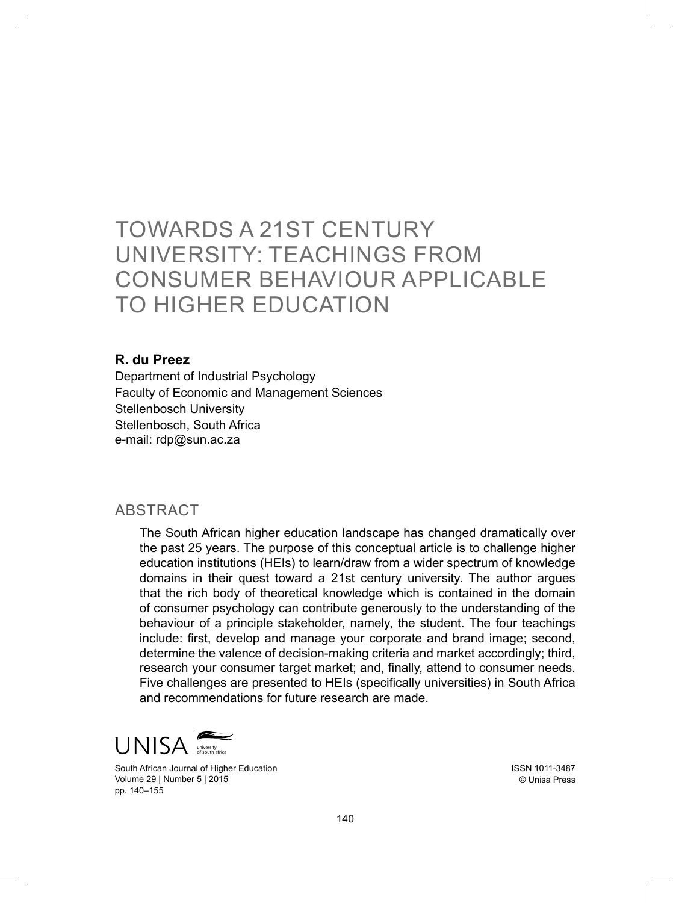# TOWARDS A 21st CENTURY UNIVERSITY: TEACHINGS FROM CONSUMER BEHAVIOUR APPLICABLE TO HIGHER EDUCATION

#### **R. du Preez**

Department of Industrial Psychology Faculty of Economic and Management Sciences Stellenbosch University Stellenbosch, South Africa e-mail: rdp@sun.ac.za

#### ABSTRACT

The South African higher education landscape has changed dramatically over the past 25 years. The purpose of this conceptual article is to challenge higher education institutions (HEIs) to learn/draw from a wider spectrum of knowledge domains in their quest toward a 21st century university. The author argues that the rich body of theoretical knowledge which is contained in the domain of consumer psychology can contribute generously to the understanding of the behaviour of a principle stakeholder, namely, the student. The four teachings include: first, develop and manage your corporate and brand image; second, determine the valence of decision-making criteria and market accordingly; third, research your consumer target market; and, finally, attend to consumer needs. Five challenges are presented to HEIs (specifically universities) in South Africa and recommendations for future research are made.



South African Journal of Higher Education Volume 29 | Number 5 | 2015 pp. 140–155

ISSN 1011-3487 © Unisa Press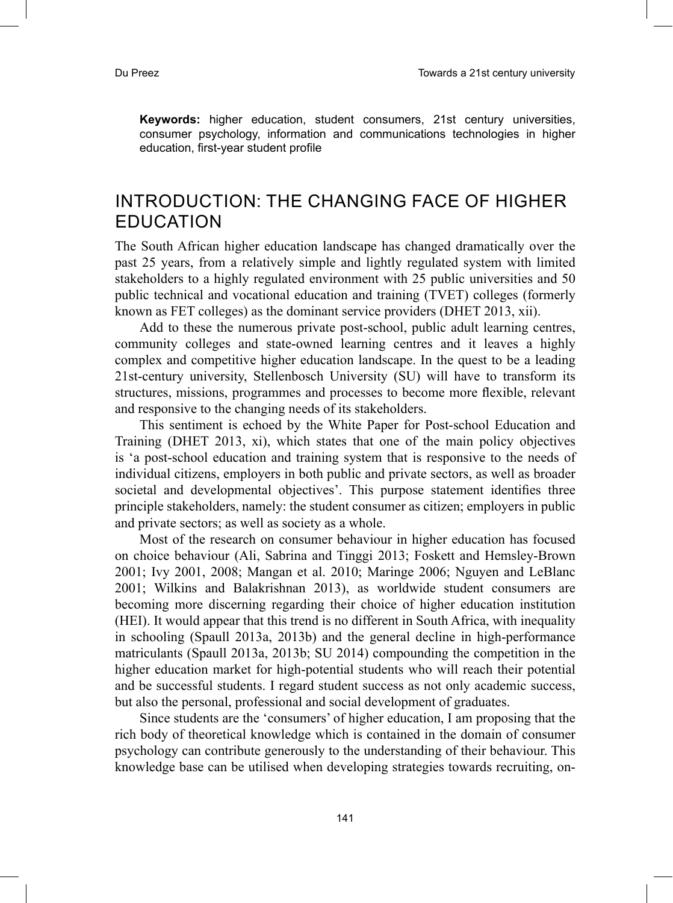**Keywords:** higher education, student consumers, 21st century universities, consumer psychology, information and communications technologies in higher education, first-year student profile

### INTRODUCTION: THE CHANGING FACE OF HIGHER EDUCATION

The South African higher education landscape has changed dramatically over the past 25 years, from a relatively simple and lightly regulated system with limited stakeholders to a highly regulated environment with 25 public universities and 50 public technical and vocational education and training (TVET) colleges (formerly known as FET colleges) as the dominant service providers (DHET 2013, xii).

Add to these the numerous private post-school, public adult learning centres, community colleges and state-owned learning centres and it leaves a highly complex and competitive higher education landscape. In the quest to be a leading 21st-century university, Stellenbosch University (SU) will have to transform its structures, missions, programmes and processes to become more flexible, relevant and responsive to the changing needs of its stakeholders.

This sentiment is echoed by the White Paper for Post-school Education and Training (DHET 2013, xi), which states that one of the main policy objectives is 'a post-school education and training system that is responsive to the needs of individual citizens, employers in both public and private sectors, as well as broader societal and developmental objectives'. This purpose statement identifies three principle stakeholders, namely: the student consumer as citizen; employers in public and private sectors; as well as society as a whole.

Most of the research on consumer behaviour in higher education has focused on choice behaviour (Ali, Sabrina and Tinggi 2013; Foskett and Hemsley-Brown 2001; Ivy 2001, 2008; Mangan et al. 2010; Maringe 2006; Nguyen and LeBlanc 2001; Wilkins and Balakrishnan 2013), as worldwide student consumers are becoming more discerning regarding their choice of higher education institution (HEI). It would appear that this trend is no different in South Africa, with inequality in schooling (Spaull 2013a, 2013b) and the general decline in high-performance matriculants (Spaull 2013a, 2013b; SU 2014) compounding the competition in the higher education market for high-potential students who will reach their potential and be successful students. I regard student success as not only academic success, but also the personal, professional and social development of graduates.

Since students are the 'consumers' of higher education, I am proposing that the rich body of theoretical knowledge which is contained in the domain of consumer psychology can contribute generously to the understanding of their behaviour. This knowledge base can be utilised when developing strategies towards recruiting, on-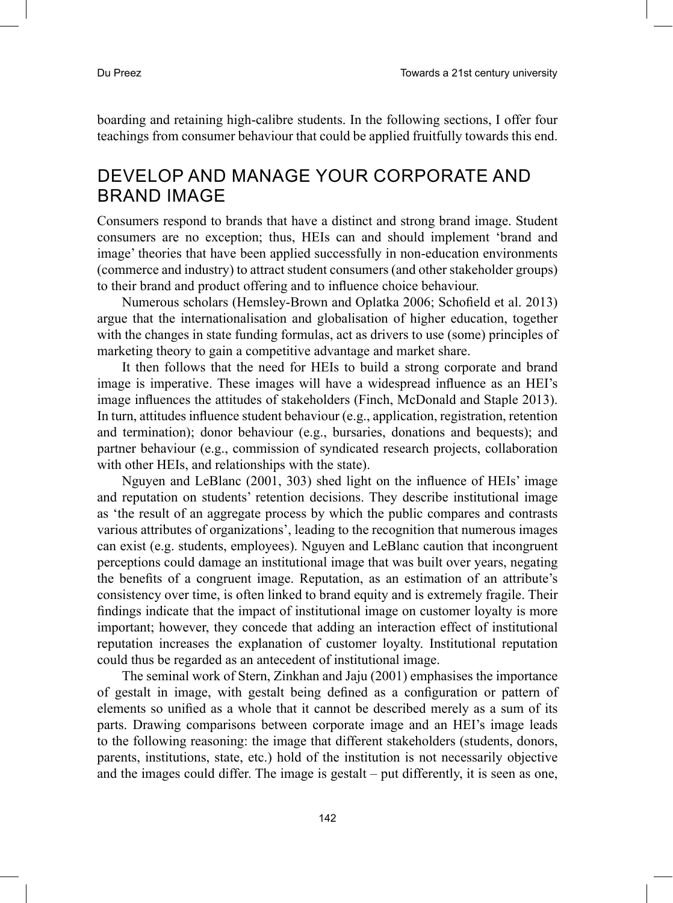boarding and retaining high-calibre students. In the following sections, I offer four teachings from consumer behaviour that could be applied fruitfully towards this end.

### DEVELOP AND MANAGE YOUR CORPORATE AND BRAND IMAGE

Consumers respond to brands that have a distinct and strong brand image. Student consumers are no exception; thus, HEIs can and should implement 'brand and image' theories that have been applied successfully in non-education environments (commerce and industry) to attract student consumers (and other stakeholder groups) to their brand and product offering and to influence choice behaviour.

Numerous scholars (Hemsley-Brown and Oplatka 2006; Schofield et al. 2013) argue that the internationalisation and globalisation of higher education, together with the changes in state funding formulas, act as drivers to use (some) principles of marketing theory to gain a competitive advantage and market share.

It then follows that the need for HEIs to build a strong corporate and brand image is imperative. These images will have a widespread influence as an HEI's image influences the attitudes of stakeholders (Finch, McDonald and Staple 2013). In turn, attitudes influence student behaviour (e.g., application, registration, retention and termination); donor behaviour (e.g., bursaries, donations and bequests); and partner behaviour (e.g., commission of syndicated research projects, collaboration with other HEIs, and relationships with the state).

Nguyen and LeBlanc (2001, 303) shed light on the influence of HEIs' image and reputation on students' retention decisions. They describe institutional image as 'the result of an aggregate process by which the public compares and contrasts various attributes of organizations', leading to the recognition that numerous images can exist (e.g. students, employees). Nguyen and LeBlanc caution that incongruent perceptions could damage an institutional image that was built over years, negating the benefits of a congruent image. Reputation, as an estimation of an attribute's consistency over time, is often linked to brand equity and is extremely fragile. Their findings indicate that the impact of institutional image on customer loyalty is more important; however, they concede that adding an interaction effect of institutional reputation increases the explanation of customer loyalty. Institutional reputation could thus be regarded as an antecedent of institutional image.

The seminal work of Stern, Zinkhan and Jaju (2001) emphasises the importance of gestalt in image, with gestalt being defined as a configuration or pattern of elements so unified as a whole that it cannot be described merely as a sum of its parts. Drawing comparisons between corporate image and an HEI's image leads to the following reasoning: the image that different stakeholders (students, donors, parents, institutions, state, etc.) hold of the institution is not necessarily objective and the images could differ. The image is gestalt – put differently, it is seen as one,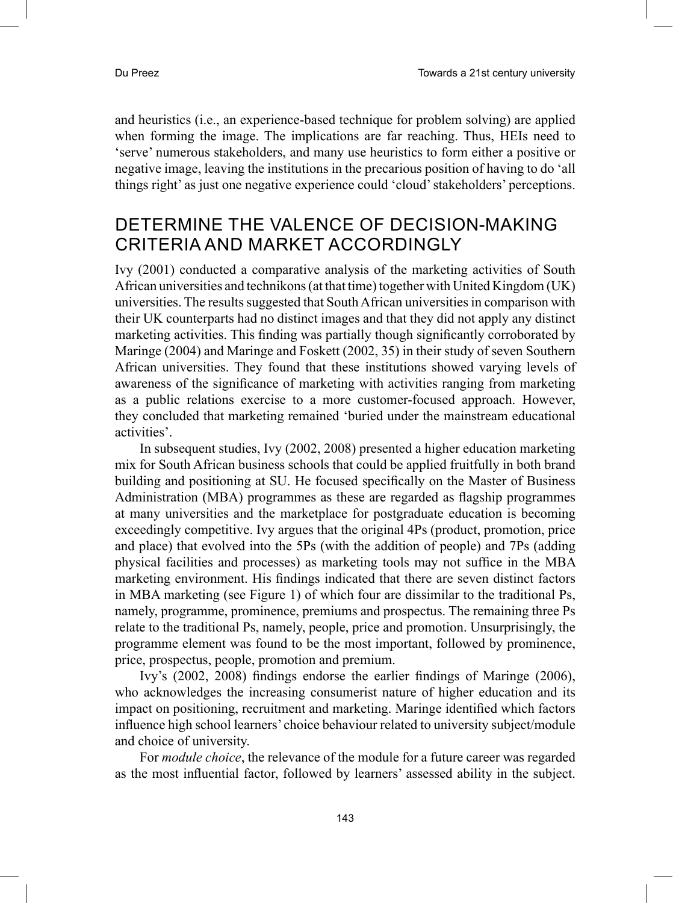and heuristics (i.e., an experience-based technique for problem solving) are applied when forming the image. The implications are far reaching. Thus, HEIs need to 'serve' numerous stakeholders, and many use heuristics to form either a positive or negative image, leaving the institutions in the precarious position of having to do 'all things right' as just one negative experience could 'cloud' stakeholders' perceptions.

### DETERMINE THE VALENCE OF DECISION-MAKING CRITERIA AND MARKET ACCORDINGLY

Ivy (2001) conducted a comparative analysis of the marketing activities of South African universities and technikons (at that time) together with United Kingdom (UK) universities. The results suggested that South African universities in comparison with their UK counterparts had no distinct images and that they did not apply any distinct marketing activities. This finding was partially though significantly corroborated by Maringe (2004) and Maringe and Foskett (2002, 35) in their study of seven Southern African universities. They found that these institutions showed varying levels of awareness of the significance of marketing with activities ranging from marketing as a public relations exercise to a more customer-focused approach. However, they concluded that marketing remained 'buried under the mainstream educational activities'.

In subsequent studies, Ivy (2002, 2008) presented a higher education marketing mix for South African business schools that could be applied fruitfully in both brand building and positioning at SU. He focused specifically on the Master of Business Administration (MBA) programmes as these are regarded as flagship programmes at many universities and the marketplace for postgraduate education is becoming exceedingly competitive. Ivy argues that the original 4Ps (product, promotion, price and place) that evolved into the 5Ps (with the addition of people) and 7Ps (adding physical facilities and processes) as marketing tools may not suffice in the MBA marketing environment. His findings indicated that there are seven distinct factors in MBA marketing (see Figure 1) of which four are dissimilar to the traditional Ps, namely, programme, prominence, premiums and prospectus. The remaining three Ps relate to the traditional Ps, namely, people, price and promotion. Unsurprisingly, the programme element was found to be the most important, followed by prominence, price, prospectus, people, promotion and premium.

Ivy's (2002, 2008) findings endorse the earlier findings of Maringe (2006), who acknowledges the increasing consumerist nature of higher education and its impact on positioning, recruitment and marketing. Maringe identified which factors influence high school learners' choice behaviour related to university subject/module and choice of university.

For *module choice*, the relevance of the module for a future career was regarded as the most influential factor, followed by learners' assessed ability in the subject.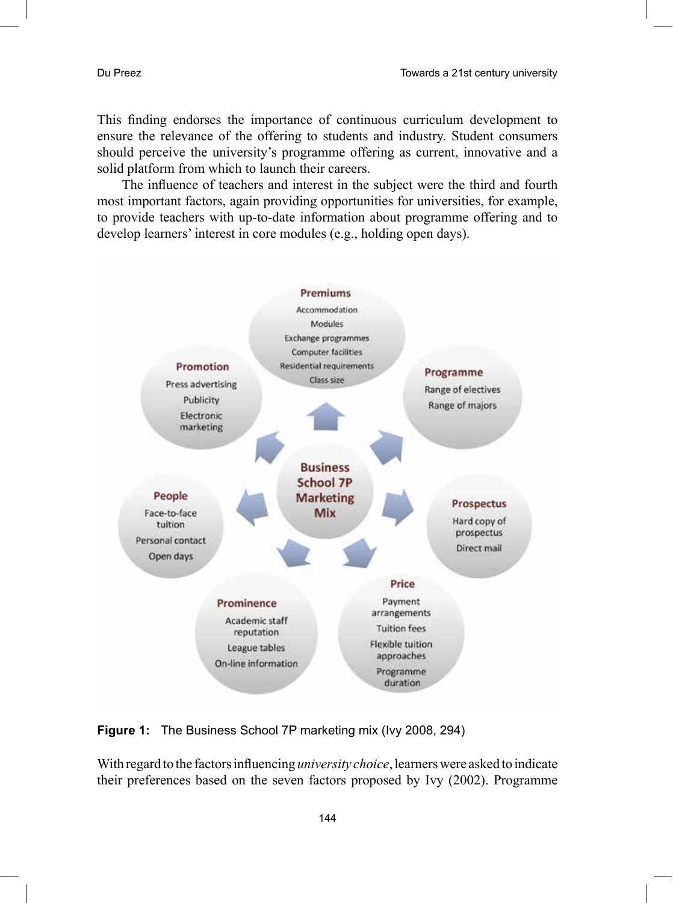This finding endorses the importance of continuous curriculum development to ensure the relevance of the offering to students and industry. Student consumers should perceive the university's programme offering as current, innovative and a solid platform from which to launch their careers.

The influence of teachers and interest in the subject were the third and fourth most important factors, again providing opportunities for universities, for example, to provide teachers with up-to-date information about programme offering and to develop learners' interest in core modules (e.g., holding open days).



**Figure 1:** The Business School 7P marketing mix (Ivy 2008, 294)

With regard to the factors influencing *university choice*, learners were asked to indicate their preferences based on the seven factors proposed by Ivy (2002). Programme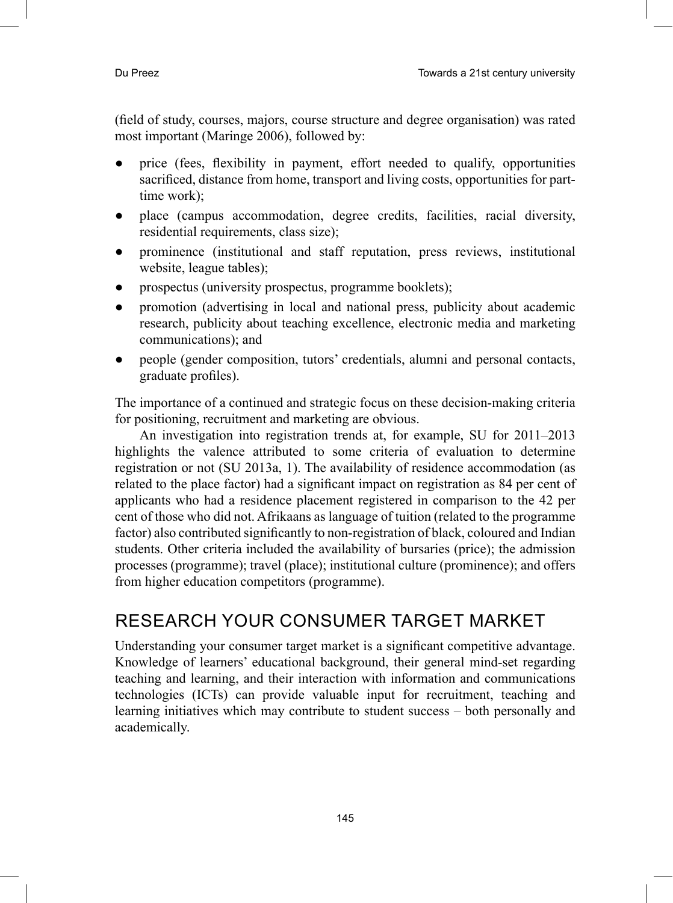(field of study, courses, majors, course structure and degree organisation) was rated most important (Maringe 2006), followed by:

- price (fees, flexibility in payment, effort needed to qualify, opportunities sacrificed, distance from home, transport and living costs, opportunities for parttime work);
- place (campus accommodation, degree credits, facilities, racial diversity, residential requirements, class size);
- prominence (institutional and staff reputation, press reviews, institutional website, league tables);
- prospectus (university prospectus, programme booklets);
- promotion (advertising in local and national press, publicity about academic research, publicity about teaching excellence, electronic media and marketing communications); and
- people (gender composition, tutors' credentials, alumni and personal contacts, graduate profiles).

The importance of a continued and strategic focus on these decision-making criteria for positioning, recruitment and marketing are obvious.

An investigation into registration trends at, for example, SU for 2011–2013 highlights the valence attributed to some criteria of evaluation to determine registration or not (SU 2013a, 1). The availability of residence accommodation (as related to the place factor) had a significant impact on registration as 84 per cent of applicants who had a residence placement registered in comparison to the 42 per cent of those who did not. Afrikaans as language of tuition (related to the programme factor) also contributed significantly to non-registration of black, coloured and Indian students. Other criteria included the availability of bursaries (price); the admission processes (programme); travel (place); institutional culture (prominence); and offers from higher education competitors (programme).

# RESEARCH YOUR CONSUMER TARGET MARKET

Understanding your consumer target market is a significant competitive advantage. Knowledge of learners' educational background, their general mind-set regarding teaching and learning, and their interaction with information and communications technologies (ICTs) can provide valuable input for recruitment, teaching and learning initiatives which may contribute to student success – both personally and academically.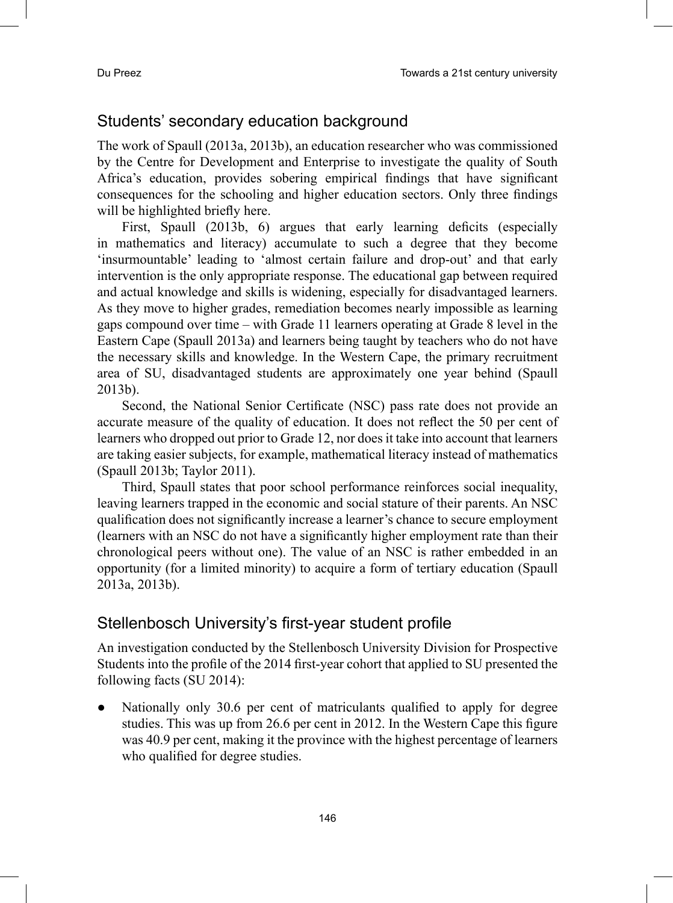#### Students' secondary education background

The work of Spaull (2013a, 2013b), an education researcher who was commissioned by the Centre for Development and Enterprise to investigate the quality of South Africa's education, provides sobering empirical findings that have significant consequences for the schooling and higher education sectors. Only three findings will be highlighted briefly here.

First, Spaull (2013b, 6) argues that early learning deficits (especially in mathematics and literacy) accumulate to such a degree that they become 'insurmountable' leading to 'almost certain failure and drop-out' and that early intervention is the only appropriate response. The educational gap between required and actual knowledge and skills is widening, especially for disadvantaged learners. As they move to higher grades, remediation becomes nearly impossible as learning gaps compound over time – with Grade 11 learners operating at Grade 8 level in the Eastern Cape (Spaull 2013a) and learners being taught by teachers who do not have the necessary skills and knowledge. In the Western Cape, the primary recruitment area of SU, disadvantaged students are approximately one year behind (Spaull 2013b).

Second, the National Senior Certificate (NSC) pass rate does not provide an accurate measure of the quality of education. It does not reflect the 50 per cent of learners who dropped out prior to Grade 12, nor does it take into account that learners are taking easier subjects, for example, mathematical literacy instead of mathematics (Spaull 2013b; Taylor 2011).

Third, Spaull states that poor school performance reinforces social inequality, leaving learners trapped in the economic and social stature of their parents. An NSC qualification does not significantly increase a learner's chance to secure employment (learners with an NSC do not have a significantly higher employment rate than their chronological peers without one). The value of an NSC is rather embedded in an opportunity (for a limited minority) to acquire a form of tertiary education (Spaull 2013a, 2013b).

#### Stellenbosch University's first-year student profile

An investigation conducted by the Stellenbosch University Division for Prospective Students into the profile of the 2014 first-year cohort that applied to SU presented the following facts (SU 2014):

Nationally only 30.6 per cent of matriculants qualified to apply for degree studies. This was up from 26.6 per cent in 2012. In the Western Cape this figure was 40.9 per cent, making it the province with the highest percentage of learners who qualified for degree studies.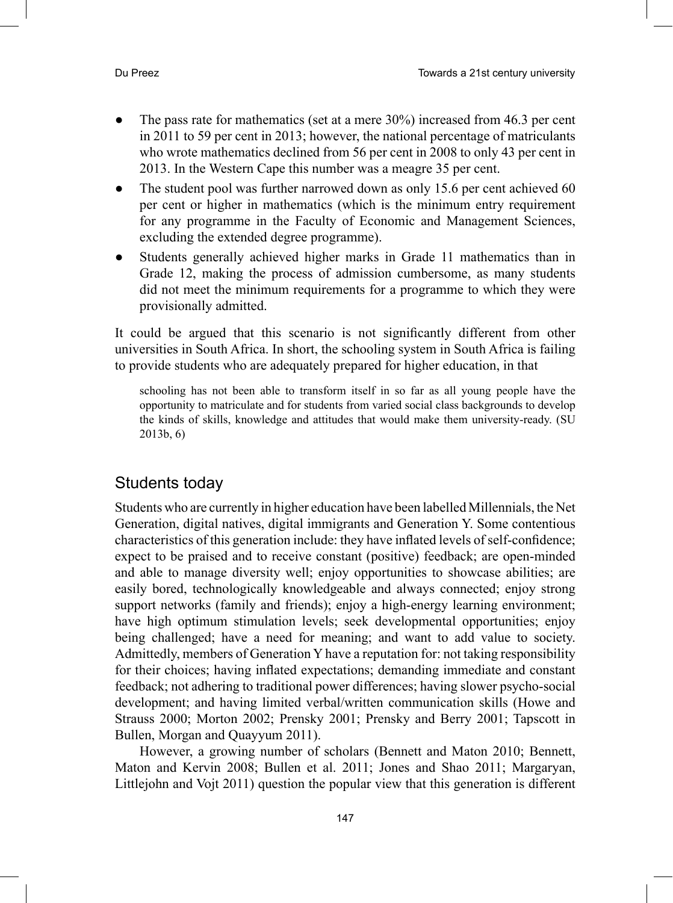- The pass rate for mathematics (set at a mere  $30\%$ ) increased from 46.3 per cent in 2011 to 59 per cent in 2013; however, the national percentage of matriculants who wrote mathematics declined from 56 per cent in 2008 to only 43 per cent in 2013. In the Western Cape this number was a meagre 35 per cent.
- The student pool was further narrowed down as only 15.6 per cent achieved 60 per cent or higher in mathematics (which is the minimum entry requirement for any programme in the Faculty of Economic and Management Sciences, excluding the extended degree programme).
- Students generally achieved higher marks in Grade 11 mathematics than in Grade 12, making the process of admission cumbersome, as many students did not meet the minimum requirements for a programme to which they were provisionally admitted.

It could be argued that this scenario is not significantly different from other universities in South Africa. In short, the schooling system in South Africa is failing to provide students who are adequately prepared for higher education, in that

schooling has not been able to transform itself in so far as all young people have the opportunity to matriculate and for students from varied social class backgrounds to develop the kinds of skills, knowledge and attitudes that would make them university-ready. (SU 2013b, 6)

### Students today

Students who are currently in higher education have been labelled Millennials, the Net Generation, digital natives, digital immigrants and Generation Y. Some contentious characteristics of this generation include: they have inflated levels of self-confidence; expect to be praised and to receive constant (positive) feedback; are open-minded and able to manage diversity well; enjoy opportunities to showcase abilities; are easily bored, technologically knowledgeable and always connected; enjoy strong support networks (family and friends); enjoy a high-energy learning environment; have high optimum stimulation levels; seek developmental opportunities; enjoy being challenged; have a need for meaning; and want to add value to society. Admittedly, members of Generation Y have a reputation for: not taking responsibility for their choices; having inflated expectations; demanding immediate and constant feedback; not adhering to traditional power differences; having slower psycho-social development; and having limited verbal/written communication skills (Howe and Strauss 2000; Morton 2002; Prensky 2001; Prensky and Berry 2001; Tapscott in Bullen, Morgan and Quayyum 2011).

However, a growing number of scholars (Bennett and Maton 2010; Bennett, Maton and Kervin 2008; Bullen et al. 2011; Jones and Shao 2011; Margaryan, Littlejohn and Vojt 2011) question the popular view that this generation is different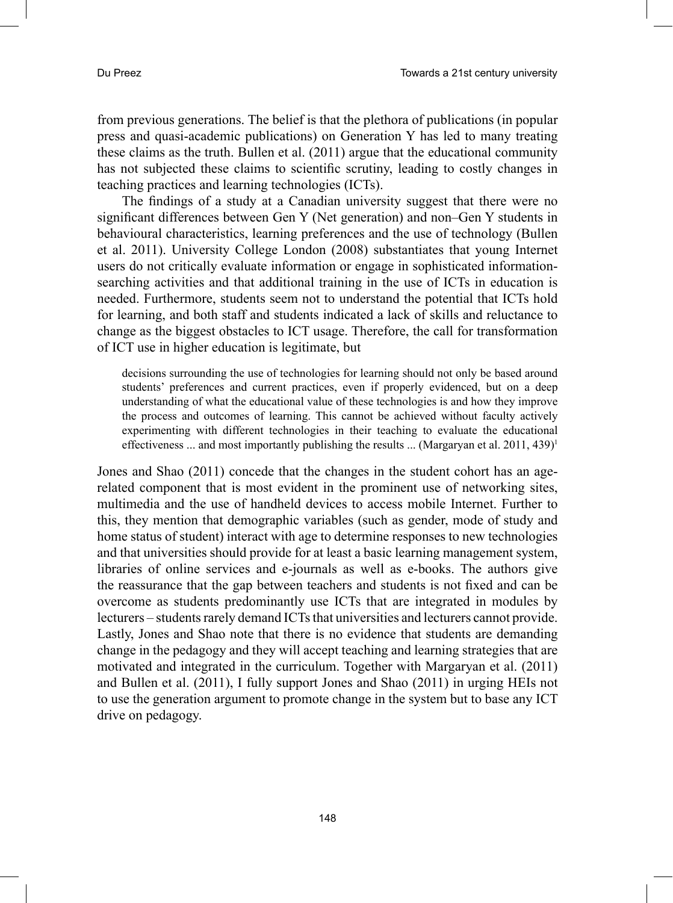from previous generations. The belief is that the plethora of publications (in popular press and quasi-academic publications) on Generation Y has led to many treating these claims as the truth. Bullen et al. (2011) argue that the educational community has not subjected these claims to scientific scrutiny, leading to costly changes in teaching practices and learning technologies (ICTs).

The findings of a study at a Canadian university suggest that there were no significant differences between Gen Y (Net generation) and non–Gen Y students in behavioural characteristics, learning preferences and the use of technology (Bullen et al. 2011). University College London (2008) substantiates that young Internet users do not critically evaluate information or engage in sophisticated informationsearching activities and that additional training in the use of ICTs in education is needed. Furthermore, students seem not to understand the potential that ICTs hold for learning, and both staff and students indicated a lack of skills and reluctance to change as the biggest obstacles to ICT usage. Therefore, the call for transformation of ICT use in higher education is legitimate, but

decisions surrounding the use of technologies for learning should not only be based around students' preferences and current practices, even if properly evidenced, but on a deep understanding of what the educational value of these technologies is and how they improve the process and outcomes of learning. This cannot be achieved without faculty actively experimenting with different technologies in their teaching to evaluate the educational effectiveness ... and most importantly publishing the results ... (Margaryan et al. 2011, 439)<sup>1</sup>

Jones and Shao (2011) concede that the changes in the student cohort has an agerelated component that is most evident in the prominent use of networking sites, multimedia and the use of handheld devices to access mobile Internet. Further to this, they mention that demographic variables (such as gender, mode of study and home status of student) interact with age to determine responses to new technologies and that universities should provide for at least a basic learning management system, libraries of online services and e-journals as well as e-books. The authors give the reassurance that the gap between teachers and students is not fixed and can be overcome as students predominantly use ICTs that are integrated in modules by lecturers – students rarely demand ICTs that universities and lecturers cannot provide. Lastly, Jones and Shao note that there is no evidence that students are demanding change in the pedagogy and they will accept teaching and learning strategies that are motivated and integrated in the curriculum. Together with Margaryan et al. (2011) and Bullen et al. (2011), I fully support Jones and Shao (2011) in urging HEIs not to use the generation argument to promote change in the system but to base any ICT drive on pedagogy.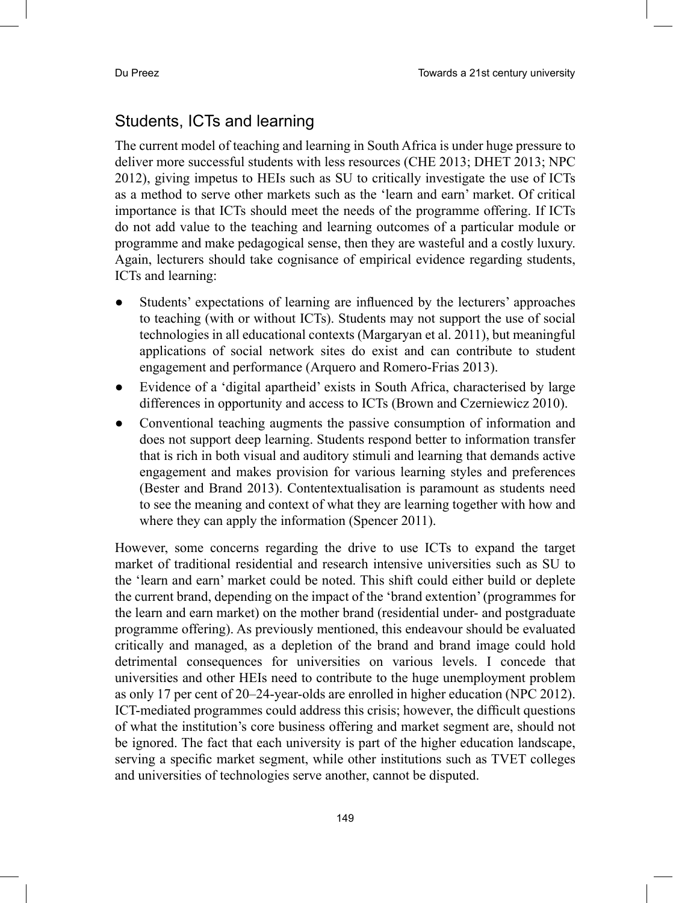## Students, ICTs and learning

The current model of teaching and learning in South Africa is under huge pressure to deliver more successful students with less resources (CHE 2013; DHET 2013; NPC 2012), giving impetus to HEIs such as SU to critically investigate the use of ICTs as a method to serve other markets such as the 'learn and earn' market. Of critical importance is that ICTs should meet the needs of the programme offering. If ICTs do not add value to the teaching and learning outcomes of a particular module or programme and make pedagogical sense, then they are wasteful and a costly luxury. Again, lecturers should take cognisance of empirical evidence regarding students, ICTs and learning:

- Students' expectations of learning are influenced by the lecturers' approaches to teaching (with or without ICTs). Students may not support the use of social technologies in all educational contexts (Margaryan et al. 2011), but meaningful applications of social network sites do exist and can contribute to student engagement and performance (Arquero and Romero-Frias 2013).
- Evidence of a 'digital apartheid' exists in South Africa, characterised by large differences in opportunity and access to ICTs (Brown and Czerniewicz 2010).
- Conventional teaching augments the passive consumption of information and does not support deep learning. Students respond better to information transfer that is rich in both visual and auditory stimuli and learning that demands active engagement and makes provision for various learning styles and preferences (Bester and Brand 2013). Contentextualisation is paramount as students need to see the meaning and context of what they are learning together with how and where they can apply the information (Spencer 2011).

However, some concerns regarding the drive to use ICTs to expand the target market of traditional residential and research intensive universities such as SU to the 'learn and earn' market could be noted. This shift could either build or deplete the current brand, depending on the impact of the 'brand extention' (programmes for the learn and earn market) on the mother brand (residential under- and postgraduate programme offering). As previously mentioned, this endeavour should be evaluated critically and managed, as a depletion of the brand and brand image could hold detrimental consequences for universities on various levels. I concede that universities and other HEIs need to contribute to the huge unemployment problem as only 17 per cent of 20–24-year-olds are enrolled in higher education (NPC 2012). ICT-mediated programmes could address this crisis; however, the difficult questions of what the institution's core business offering and market segment are, should not be ignored. The fact that each university is part of the higher education landscape, serving a specific market segment, while other institutions such as TVET colleges and universities of technologies serve another, cannot be disputed.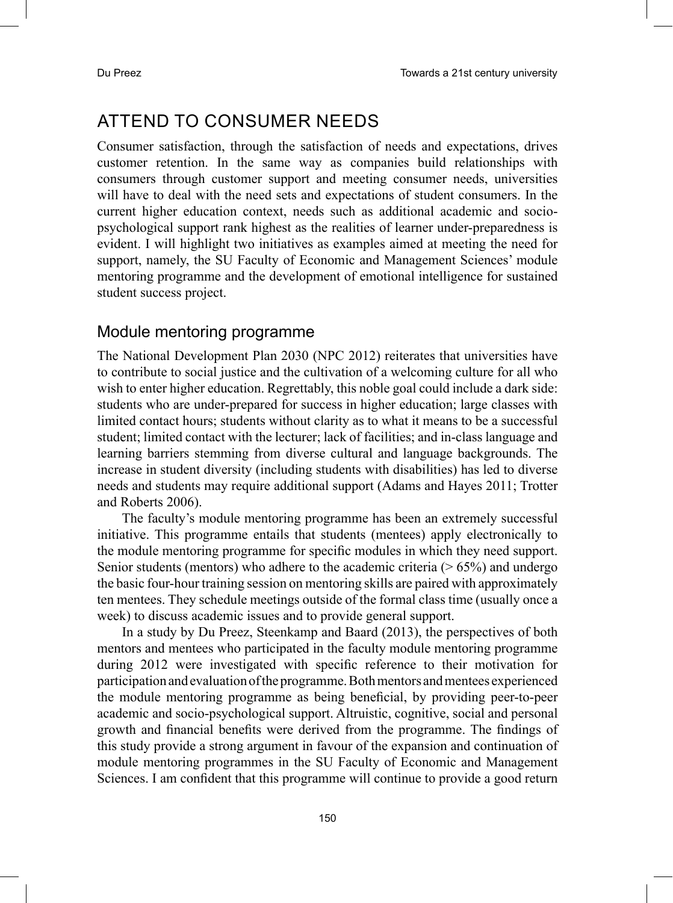# ATTEND TO CONSUMER NEEDS

Consumer satisfaction, through the satisfaction of needs and expectations, drives customer retention. In the same way as companies build relationships with consumers through customer support and meeting consumer needs, universities will have to deal with the need sets and expectations of student consumers. In the current higher education context, needs such as additional academic and sociopsychological support rank highest as the realities of learner under-preparedness is evident. I will highlight two initiatives as examples aimed at meeting the need for support, namely, the SU Faculty of Economic and Management Sciences' module mentoring programme and the development of emotional intelligence for sustained student success project.

#### Module mentoring programme

The National Development Plan 2030 (NPC 2012) reiterates that universities have to contribute to social justice and the cultivation of a welcoming culture for all who wish to enter higher education. Regrettably, this noble goal could include a dark side: students who are under-prepared for success in higher education; large classes with limited contact hours; students without clarity as to what it means to be a successful student; limited contact with the lecturer; lack of facilities; and in-class language and learning barriers stemming from diverse cultural and language backgrounds. The increase in student diversity (including students with disabilities) has led to diverse needs and students may require additional support (Adams and Hayes 2011; Trotter and Roberts 2006).

The faculty's module mentoring programme has been an extremely successful initiative. This programme entails that students (mentees) apply electronically to the module mentoring programme for specific modules in which they need support. Senior students (mentors) who adhere to the academic criteria  $($  > 65%) and undergo the basic four-hour training session on mentoring skills are paired with approximately ten mentees. They schedule meetings outside of the formal class time (usually once a week) to discuss academic issues and to provide general support.

In a study by Du Preez, Steenkamp and Baard (2013), the perspectives of both mentors and mentees who participated in the faculty module mentoring programme during 2012 were investigated with specific reference to their motivation for participation and evaluation of the programme. Both mentors and mentees experienced the module mentoring programme as being beneficial, by providing peer-to-peer academic and socio-psychological support. Altruistic, cognitive, social and personal growth and financial benefits were derived from the programme. The findings of this study provide a strong argument in favour of the expansion and continuation of module mentoring programmes in the SU Faculty of Economic and Management Sciences. I am confident that this programme will continue to provide a good return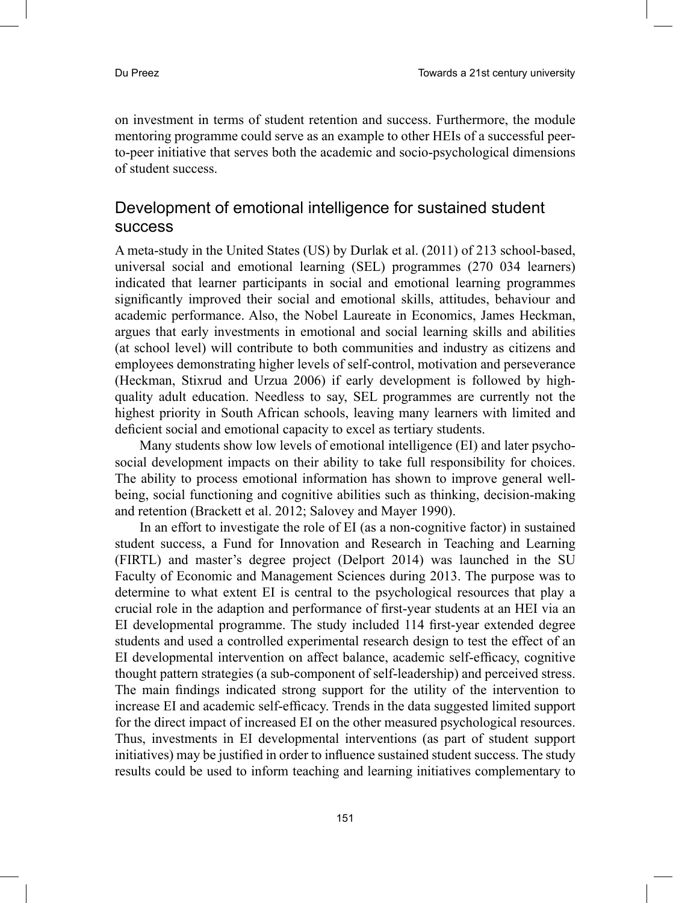on investment in terms of student retention and success. Furthermore, the module mentoring programme could serve as an example to other HEIs of a successful peerto-peer initiative that serves both the academic and socio-psychological dimensions of student success.

#### Development of emotional intelligence for sustained student success

A meta-study in the United States (US) by Durlak et al. (2011) of 213 school-based, universal social and emotional learning (SEL) programmes (270 034 learners) indicated that learner participants in social and emotional learning programmes significantly improved their social and emotional skills, attitudes, behaviour and academic performance. Also, the Nobel Laureate in Economics, James Heckman, argues that early investments in emotional and social learning skills and abilities (at school level) will contribute to both communities and industry as citizens and employees demonstrating higher levels of self-control, motivation and perseverance (Heckman, Stixrud and Urzua 2006) if early development is followed by highquality adult education. Needless to say, SEL programmes are currently not the highest priority in South African schools, leaving many learners with limited and deficient social and emotional capacity to excel as tertiary students.

Many students show low levels of emotional intelligence (EI) and later psychosocial development impacts on their ability to take full responsibility for choices. The ability to process emotional information has shown to improve general wellbeing, social functioning and cognitive abilities such as thinking, decision-making and retention (Brackett et al. 2012; Salovey and Mayer 1990).

In an effort to investigate the role of EI (as a non-cognitive factor) in sustained student success, a Fund for Innovation and Research in Teaching and Learning (FIRTL) and master's degree project (Delport 2014) was launched in the SU Faculty of Economic and Management Sciences during 2013. The purpose was to determine to what extent EI is central to the psychological resources that play a crucial role in the adaption and performance of first-year students at an HEI via an EI developmental programme. The study included 114 first-year extended degree students and used a controlled experimental research design to test the effect of an EI developmental intervention on affect balance, academic self-efficacy, cognitive thought pattern strategies (a sub-component of self-leadership) and perceived stress. The main findings indicated strong support for the utility of the intervention to increase EI and academic self-efficacy. Trends in the data suggested limited support for the direct impact of increased EI on the other measured psychological resources. Thus, investments in EI developmental interventions (as part of student support initiatives) may be justified in order to influence sustained student success. The study results could be used to inform teaching and learning initiatives complementary to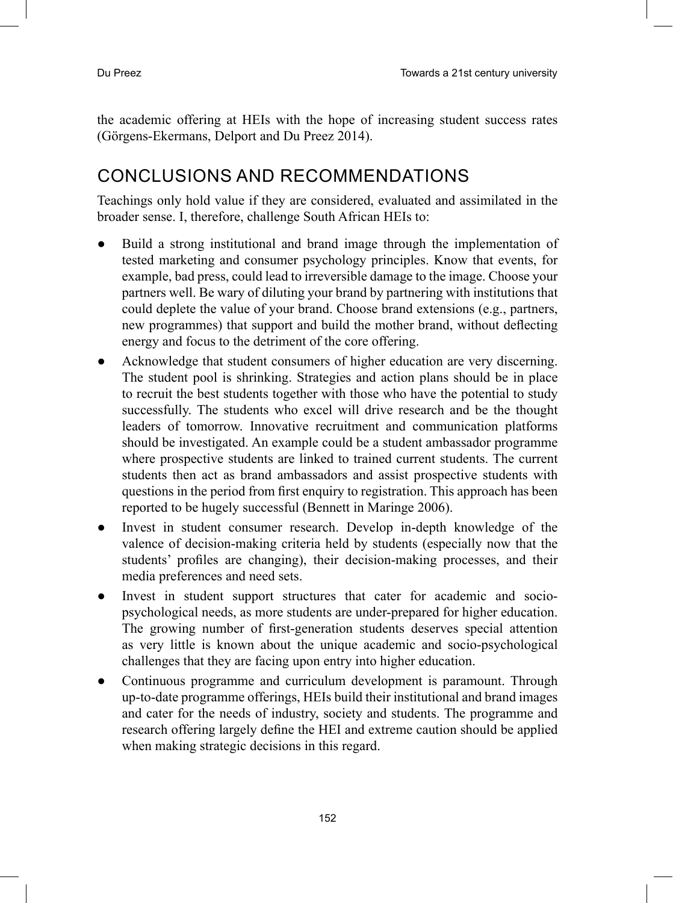the academic offering at HEIs with the hope of increasing student success rates (Görgens-Ekermans, Delport and Du Preez 2014).

# CONCLUSIONS AND RECOMMENDATIONS

Teachings only hold value if they are considered, evaluated and assimilated in the broader sense. I, therefore, challenge South African HEIs to:

- Build a strong institutional and brand image through the implementation of tested marketing and consumer psychology principles. Know that events, for example, bad press, could lead to irreversible damage to the image. Choose your partners well. Be wary of diluting your brand by partnering with institutions that could deplete the value of your brand. Choose brand extensions (e.g., partners, new programmes) that support and build the mother brand, without deflecting energy and focus to the detriment of the core offering.
- Acknowledge that student consumers of higher education are very discerning. The student pool is shrinking. Strategies and action plans should be in place to recruit the best students together with those who have the potential to study successfully. The students who excel will drive research and be the thought leaders of tomorrow. Innovative recruitment and communication platforms should be investigated. An example could be a student ambassador programme where prospective students are linked to trained current students. The current students then act as brand ambassadors and assist prospective students with questions in the period from first enquiry to registration. This approach has been reported to be hugely successful (Bennett in Maringe 2006).
- Invest in student consumer research. Develop in-depth knowledge of the valence of decision-making criteria held by students (especially now that the students' profiles are changing), their decision-making processes, and their media preferences and need sets.
- Invest in student support structures that cater for academic and sociopsychological needs, as more students are under-prepared for higher education. The growing number of first-generation students deserves special attention as very little is known about the unique academic and socio-psychological challenges that they are facing upon entry into higher education.
- Continuous programme and curriculum development is paramount. Through up-to-date programme offerings, HEIs build their institutional and brand images and cater for the needs of industry, society and students. The programme and research offering largely define the HEI and extreme caution should be applied when making strategic decisions in this regard.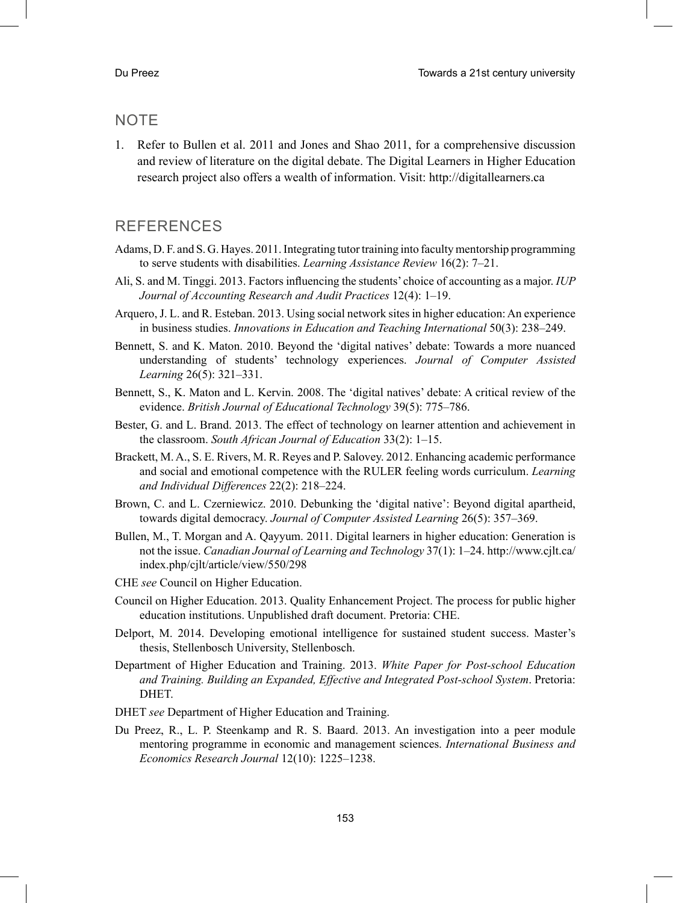#### **NOTE**

1. Refer to Bullen et al. 2011 and Jones and Shao 2011, for a comprehensive discussion and review of literature on the digital debate. The Digital Learners in Higher Education research project also offers a wealth of information. Visit: http://digitallearners.ca

#### REFERENCES

- Adams, D. F. and S. G. Hayes. 2011. Integrating tutor training into faculty mentorship programming to serve students with disabilities. *Learning Assistance Review* 16(2): 7–21.
- Ali, S. and M. Tinggi. 2013. Factors influencing the students' choice of accounting as a major. *IUP Journal of Accounting Research and Audit Practices* 12(4): 1–19.
- Arquero, J. L. and R. Esteban. 2013. Using social network sites in higher education: An experience in business studies. *Innovations in Education and Teaching International* 50(3): 238–249.
- Bennett, S. and K. Maton. 2010. Beyond the 'digital natives' debate: Towards a more nuanced understanding of students' technology experiences. *Journal of Computer Assisted Learning* 26(5): 321–331.
- Bennett, S., K. Maton and L. Kervin. 2008. The 'digital natives' debate: A critical review of the evidence. *British Journal of Educational Technology* 39(5): 775–786.
- Bester, G. and L. Brand. 2013. The effect of technology on learner attention and achievement in the classroom. *South African Journal of Education* 33(2): 1–15.
- Brackett, M. A., S. E. Rivers, M. R. Reyes and P. Salovey. 2012. Enhancing academic performance and social and emotional competence with the RULER feeling words curriculum. *Learning and Individual Differences* 22(2): 218–224.
- Brown, C. and L. Czerniewicz. 2010. Debunking the 'digital native': Beyond digital apartheid, towards digital democracy. *Journal of Computer Assisted Learning* 26(5): 357–369.
- Bullen, M., T. Morgan and A. Qayyum. 2011. Digital learners in higher education: Generation is not the issue. *Canadian Journal of Learning and Technology* 37(1): 1–24. http://www.cjlt.ca/ index.php/cjlt/article/view/550/298
- CHE *see* Council on Higher Education.
- Council on Higher Education. 2013. Quality Enhancement Project. The process for public higher education institutions. Unpublished draft document. Pretoria: CHE.
- Delport, M. 2014. Developing emotional intelligence for sustained student success. Master's thesis, Stellenbosch University, Stellenbosch.
- Department of Higher Education and Training. 2013. *White Paper for Post-school Education and Training. Building an Expanded, Effective and Integrated Post-school System*. Pretoria: DHET.
- DHET *see* Department of Higher Education and Training.
- Du Preez, R., L. P. Steenkamp and R. S. Baard. 2013. An investigation into a peer module mentoring programme in economic and management sciences. *International Business and Economics Research Journal* 12(10): 1225–1238.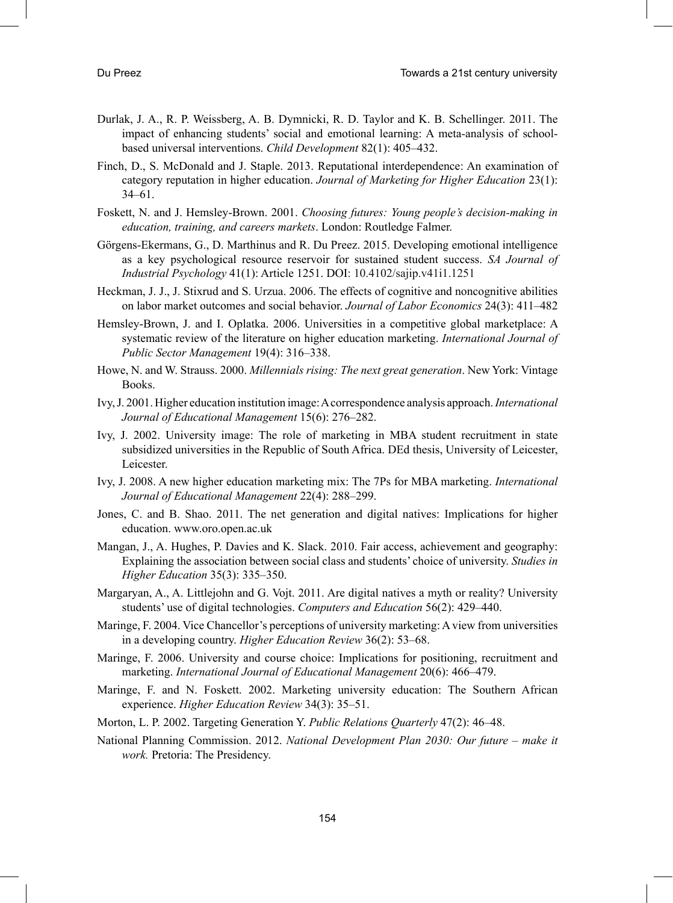- Durlak, J. A., R. P. Weissberg, A. B. Dymnicki, R. D. Taylor and K. B. Schellinger. 2011. The impact of enhancing students' social and emotional learning: A meta-analysis of schoolbased universal interventions. *Child Development* 82(1): 405–432.
- Finch, D., S. McDonald and J. Staple. 2013. Reputational interdependence: An examination of category reputation in higher education. *Journal of Marketing for Higher Education* 23(1): 34–61.
- Foskett, N. and J. Hemsley-Brown. 2001. *Choosing futures: Young people's decision-making in education, training, and careers markets*. London: Routledge Falmer.
- Görgens-Ekermans, G., D. Marthinus and R. Du Preez. 2015. Developing emotional intelligence as a key psychological resource reservoir for sustained student success. *SA Journal of Industrial Psychology* 41(1): Article 1251. DOI: 10.4102/sajip.v41i1.1251
- Heckman, J. J., J. Stixrud and S. Urzua. 2006. The effects of cognitive and noncognitive abilities on labor market outcomes and social behavior. *Journal of Labor Economics* 24(3): 411–482
- Hemsley-Brown, J. and I. Oplatka. 2006. Universities in a competitive global marketplace: A systematic review of the literature on higher education marketing. *International Journal of Public Sector Management* 19(4): 316–338.
- Howe, N. and W. Strauss. 2000. *Millennials rising: The next great generation*. New York: Vintage Books.
- Ivy, J. 2001. Higher education institution image: A correspondence analysis approach.*International Journal of Educational Management* 15(6): 276–282.
- Ivy, J. 2002. University image: The role of marketing in MBA student recruitment in state subsidized universities in the Republic of South Africa. DEd thesis, University of Leicester, Leicester.
- Ivy, J. 2008. A new higher education marketing mix: The 7Ps for MBA marketing. *International Journal of Educational Management* 22(4): 288–299.
- Jones, C. and B. Shao. 2011. The net generation and digital natives: Implications for higher education. www.oro.open.ac.uk
- Mangan, J., A. Hughes, P. Davies and K. Slack. 2010. Fair access, achievement and geography: Explaining the association between social class and students' choice of university. *Studies in Higher Education* 35(3): 335–350.
- Margaryan, A., A. Littlejohn and G. Vojt. 2011. Are digital natives a myth or reality? University students' use of digital technologies. *Computers and Education* 56(2): 429–440.
- Maringe, F. 2004. Vice Chancellor's perceptions of university marketing: A view from universities in a developing country. *Higher Education Review* 36(2): 53–68.
- Maringe, F. 2006. University and course choice: Implications for positioning, recruitment and marketing. *International Journal of Educational Management* 20(6): 466–479.
- Maringe, F. and N. Foskett. 2002. Marketing university education: The Southern African experience. *Higher Education Review* 34(3): 35–51.
- Morton, L. P. 2002. Targeting Generation Y. *Public Relations Quarterly* 47(2): 46–48.
- National Planning Commission. 2012. *National Development Plan 2030: Our future make it work.* Pretoria: The Presidency.